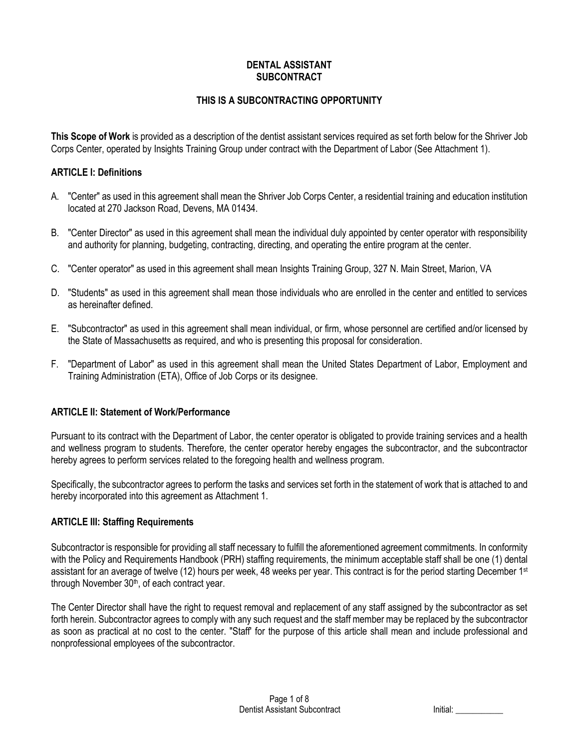## **DENTAL ASSISTANT SUBCONTRACT**

## **THIS IS A SUBCONTRACTING OPPORTUNITY**

**This Scope of Work** is provided as a description of the dentist assistant services required as set forth below for the Shriver Job Corps Center, operated by Insights Training Group under contract with the Department of Labor (See Attachment 1).

## **ARTICLE I: Definitions**

- A. "Center" as used in this agreement shall mean the Shriver Job Corps Center, a residential training and education institution located at 270 Jackson Road, Devens, MA 01434.
- B. "Center Director" as used in this agreement shall mean the individual duly appointed by center operator with responsibility and authority for planning, budgeting, contracting, directing, and operating the entire program at the center.
- C. "Center operator" as used in this agreement shall mean Insights Training Group, 327 N. Main Street, Marion, VA
- D. "Students" as used in this agreement shall mean those individuals who are enrolled in the center and entitled to services as hereinafter defined.
- E. "Subcontractor" as used in this agreement shall mean individual, or firm, whose personnel are certified and/or licensed by the State of Massachusetts as required, and who is presenting this proposal for consideration.
- F. "Department of Labor" as used in this agreement shall mean the United States Department of Labor, Employment and Training Administration (ETA), Office of Job Corps or its designee.

## **ARTICLE II: Statement of Work/Performance**

Pursuant to its contract with the Department of Labor, the center operator is obligated to provide training services and a health and wellness program to students. Therefore, the center operator hereby engages the subcontractor, and the subcontractor hereby agrees to perform services related to the foregoing health and wellness program.

Specifically, the subcontractor agrees to perform the tasks and services set forth in the statement of work that is attached to and hereby incorporated into this agreement as Attachment 1.

## **ARTICLE III: Staffing Requirements**

Subcontractor is responsible for providing all staff necessary to fulfill the aforementioned agreement commitments. In conformity with the Policy and Requirements Handbook (PRH) staffing requirements, the minimum acceptable staff shall be one (1) dental assistant for an average of twelve (12) hours per week, 48 weeks per year. This contract is for the period starting December 1st through November 30<sup>th</sup>, of each contract year.

The Center Director shall have the right to request removal and replacement of any staff assigned by the subcontractor as set forth herein. Subcontractor agrees to comply with any such request and the staff member may be replaced by the subcontractor as soon as practical at no cost to the center. "Staff' for the purpose of this article shall mean and include professional and nonprofessional employees of the subcontractor.

|  | Initial: |  |
|--|----------|--|
|--|----------|--|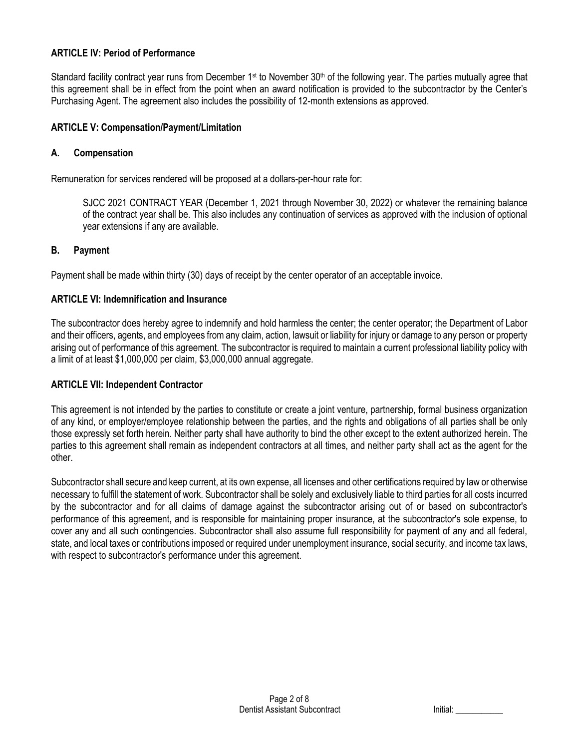## **ARTICLE IV: Period of Performance**

Standard facility contract year runs from December 1<sup>st</sup> to November 30<sup>th</sup> of the following year. The parties mutually agree that this agreement shall be in effect from the point when an award notification is provided to the subcontractor by the Center's Purchasing Agent. The agreement also includes the possibility of 12-month extensions as approved.

## **ARTICLE V: Compensation/Payment/Limitation**

#### **A. Compensation**

Remuneration for services rendered will be proposed at a dollars-per-hour rate for:

SJCC 2021 CONTRACT YEAR (December 1, 2021 through November 30, 2022) or whatever the remaining balance of the contract year shall be. This also includes any continuation of services as approved with the inclusion of optional year extensions if any are available.

#### **B. Payment**

Payment shall be made within thirty (30) days of receipt by the center operator of an acceptable invoice.

#### **ARTICLE VI: Indemnification and Insurance**

The subcontractor does hereby agree to indemnify and hold harmless the center; the center operator; the Department of Labor and their officers, agents, and employees from any claim, action, lawsuit or liability for injury or damage to any person or property arising out of performance of this agreement. The subcontractor is required to maintain a current professional liability policy with a limit of at least \$1,000,000 per claim, \$3,000,000 annual aggregate.

#### **ARTICLE VII: Independent Contractor**

This agreement is not intended by the parties to constitute or create a joint venture, partnership, formal business organization of any kind, or employer/employee relationship between the parties, and the rights and obligations of all parties shall be only those expressly set forth herein. Neither party shall have authority to bind the other except to the extent authorized herein. The parties to this agreement shall remain as independent contractors at all times, and neither party shall act as the agent for the other.

Subcontractor shall secure and keep current, at its own expense, all licenses and other certifications required by law or otherwise necessary to fulfill the statement of work. Subcontractor shall be solely and exclusively liable to third parties for all costs incurred by the subcontractor and for all claims of damage against the subcontractor arising out of or based on subcontractor's performance of this agreement, and is responsible for maintaining proper insurance, at the subcontractor's sole expense, to cover any and all such contingencies. Subcontractor shall also assume full responsibility for payment of any and all federal, state, and local taxes or contributions imposed or required under unemployment insurance, social security, and income tax laws, with respect to subcontractor's performance under this agreement.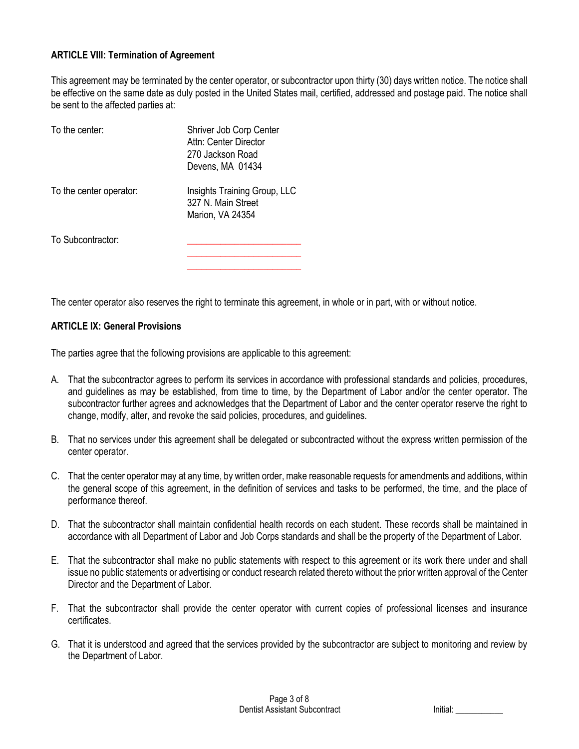## **ARTICLE VIII: Termination of Agreement**

This agreement may be terminated by the center operator, or subcontractor upon thirty (30) days written notice. The notice shall be effective on the same date as duly posted in the United States mail, certified, addressed and postage paid. The notice shall be sent to the affected parties at:

| To the center:          | Shriver Job Corp Center<br>Attn: Center Director<br>270 Jackson Road<br>Devens, MA 01434 |
|-------------------------|------------------------------------------------------------------------------------------|
| To the center operator: | Insights Training Group, LLC<br>327 N. Main Street<br>Marion, VA 24354                   |
| To Subcontractor:       |                                                                                          |

The center operator also reserves the right to terminate this agreement, in whole or in part, with or without notice.

**\_\_\_\_\_\_\_\_\_\_\_\_\_\_\_\_\_\_\_\_\_\_\_\_**

## **ARTICLE IX: General Provisions**

The parties agree that the following provisions are applicable to this agreement:

- A. That the subcontractor agrees to perform its services in accordance with professional standards and policies, procedures, and guidelines as may be established, from time to time, by the Department of Labor and/or the center operator. The subcontractor further agrees and acknowledges that the Department of Labor and the center operator reserve the right to change, modify, alter, and revoke the said policies, procedures, and guidelines.
- B. That no services under this agreement shall be delegated or subcontracted without the express written permission of the center operator.
- C. That the center operator may at any time, by written order, make reasonable requests for amendments and additions, within the general scope of this agreement, in the definition of services and tasks to be performed, the time, and the place of performance thereof.
- D. That the subcontractor shall maintain confidential health records on each student. These records shall be maintained in accordance with all Department of Labor and Job Corps standards and shall be the property of the Department of Labor.
- E. That the subcontractor shall make no public statements with respect to this agreement or its work there under and shall issue no public statements or advertising or conduct research related thereto without the prior written approval of the Center Director and the Department of Labor.
- F. That the subcontractor shall provide the center operator with current copies of professional licenses and insurance certificates.
- G. That it is understood and agreed that the services provided by the subcontractor are subject to monitoring and review by the Department of Labor.

| Initial: |  |
|----------|--|
|          |  |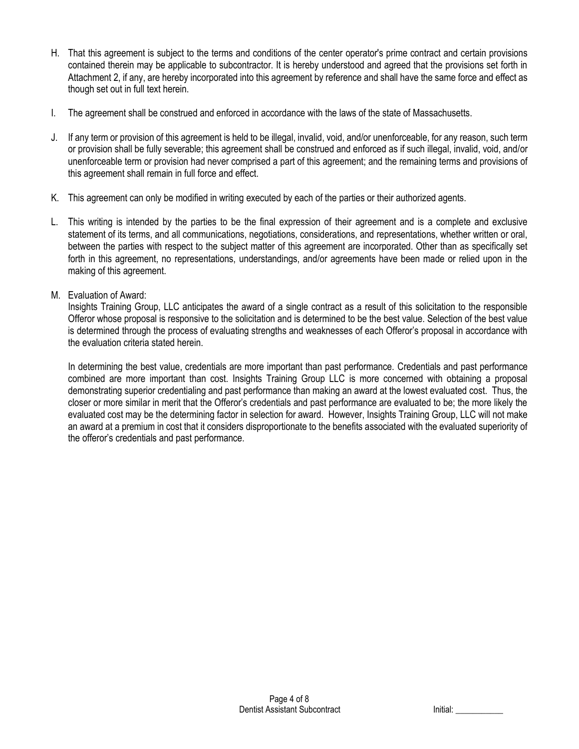- H. That this agreement is subject to the terms and conditions of the center operator's prime contract and certain provisions contained therein may be applicable to subcontractor. It is hereby understood and agreed that the provisions set forth in Attachment 2, if any, are hereby incorporated into this agreement by reference and shall have the same force and effect as though set out in full text herein.
- I. The agreement shall be construed and enforced in accordance with the laws of the state of Massachusetts.
- J. If any term or provision of this agreement is held to be illegal, invalid, void, and/or unenforceable, for any reason, such term or provision shall be fully severable; this agreement shall be construed and enforced as if such illegal, invalid, void, and/or unenforceable term or provision had never comprised a part of this agreement; and the remaining terms and provisions of this agreement shall remain in full force and effect.
- K. This agreement can only be modified in writing executed by each of the parties or their authorized agents.
- L. This writing is intended by the parties to be the final expression of their agreement and is a complete and exclusive statement of its terms, and all communications, negotiations, considerations, and representations, whether written or oral, between the parties with respect to the subject matter of this agreement are incorporated. Other than as specifically set forth in this agreement, no representations, understandings, and/or agreements have been made or relied upon in the making of this agreement.
- M. Evaluation of Award:

Insights Training Group, LLC anticipates the award of a single contract as a result of this solicitation to the responsible Offeror whose proposal is responsive to the solicitation and is determined to be the best value. Selection of the best value is determined through the process of evaluating strengths and weaknesses of each Offeror's proposal in accordance with the evaluation criteria stated herein.

In determining the best value, credentials are more important than past performance. Credentials and past performance combined are more important than cost. Insights Training Group LLC is more concerned with obtaining a proposal demonstrating superior credentialing and past performance than making an award at the lowest evaluated cost. Thus, the closer or more similar in merit that the Offeror's credentials and past performance are evaluated to be; the more likely the evaluated cost may be the determining factor in selection for award. However, Insights Training Group, LLC will not make an award at a premium in cost that it considers disproportionate to the benefits associated with the evaluated superiority of the offeror's credentials and past performance.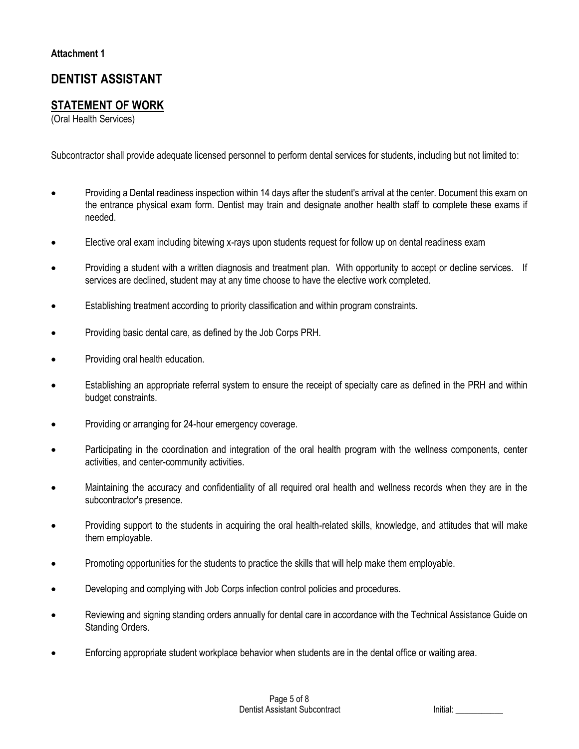# **DENTIST ASSISTANT**

## **STATEMENT OF WORK**

(Oral Health Services)

Subcontractor shall provide adequate licensed personnel to perform dental services for students, including but not limited to:

- Providing a Dental readiness inspection within 14 days after the student's arrival at the center. Document this exam on the entrance physical exam form. Dentist may train and designate another health staff to complete these exams if needed.
- Elective oral exam including bitewing x-rays upon students request for follow up on dental readiness exam
- Providing a student with a written diagnosis and treatment plan. With opportunity to accept or decline services. If services are declined, student may at any time choose to have the elective work completed.
- Establishing treatment according to priority classification and within program constraints.
- Providing basic dental care, as defined by the Job Corps PRH.
- Providing oral health education.
- Establishing an appropriate referral system to ensure the receipt of specialty care as defined in the PRH and within budget constraints.
- Providing or arranging for 24-hour emergency coverage.
- Participating in the coordination and integration of the oral health program with the wellness components, center activities, and center-community activities.
- Maintaining the accuracy and confidentiality of all required oral health and wellness records when they are in the subcontractor's presence.
- Providing support to the students in acquiring the oral health-related skills, knowledge, and attitudes that will make them employable.
- Promoting opportunities for the students to practice the skills that will help make them employable.
- Developing and complying with Job Corps infection control policies and procedures.
- Reviewing and signing standing orders annually for dental care in accordance with the Technical Assistance Guide on Standing Orders.
- Enforcing appropriate student workplace behavior when students are in the dental office or waiting area.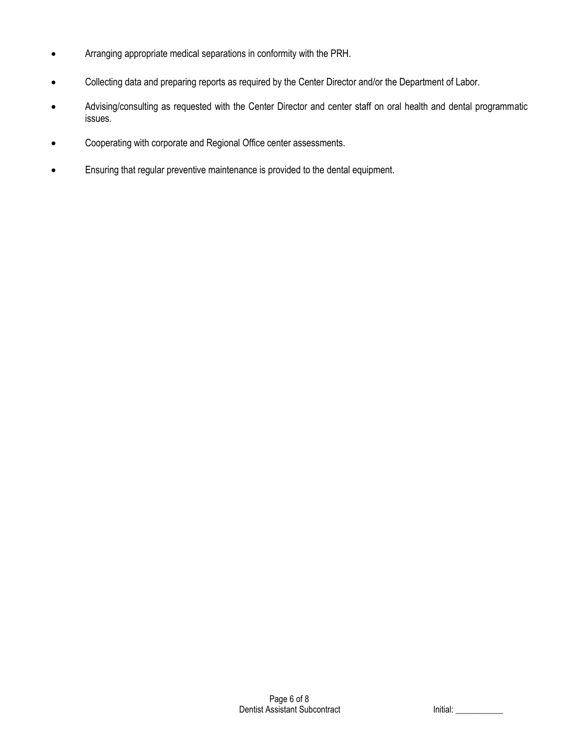- Arranging appropriate medical separations in conformity with the PRH.
- Collecting data and preparing reports as required by the Center Director and/or the Department of Labor.
- Advising/consulting as requested with the Center Director and center staff on oral health and dental programmatic issues.
- Cooperating with corporate and Regional Office center assessments.
- Ensuring that regular preventive maintenance is provided to the dental equipment.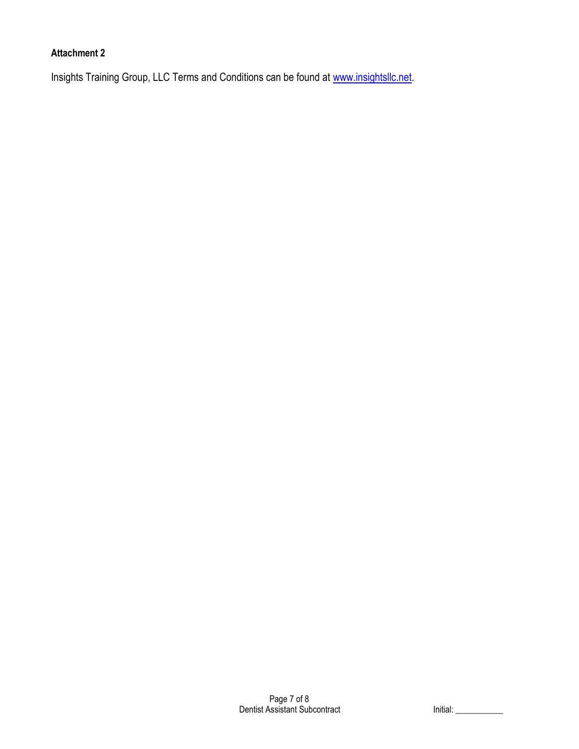## **Attachment 2**

Insights Training Group, LLC Terms and Conditions can be found at [www.insightsllc.net.](http://www.insightsllc.net/)